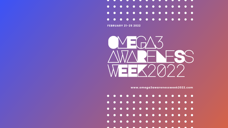**[www.omega3awarenessweek2022.com](http://www.omega3awarenessweek2022.com)**





**FEBRUARY 21-25 2022**

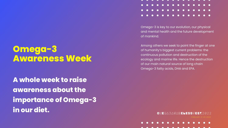OMEGA3AWARENESSWEEK2022

Omega-3 is key to our evolution, our physical and mental health and the future development of mankind.

Among others we seek to point the finger at one of humanity's biggest current problems: the continuous pollution and destruction of the ecology and marine life. Hence the destruction of our main natural source of long chain Omega-3 fatty acids, DHA and EPA.

### **Omega-3 Awareness Week**

**A whole week to raise awareness about the importance of Omega-3 in our diet.**

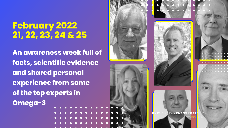**An awareness week full of facts, scientific evidence and shared personal experience from some of the top experts in Omega-3** . . . . . . . . . . . .











# **February 2022 21, 22, 23, 24 & 25**

OMEGA3AWARENESSWEEK2022 OMEGA3AWARENESSWEEK2022

FAEBYR 12<mark>1-</mark>25 2022 FEBRU<mark>ARYRI2</mark>1-25 202<mark>2</mark>

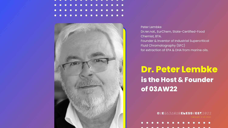

OMEGA3AWARENESSWEEK2022

. . . . . . . . . . . . . .

<u>A A A A A A A A A A A A A A A A</u>

## **Dr. Peter Lembke is the Host & Founder of 03AW22**





Peter Lembke Dr.rer.nat., EurChem, State-Certified-Food Chemist, BTA. Founder & Inventor of Industrial Supercritical Fluid Chromatography (SFC) for extraction of EPA & DHA from marine oils.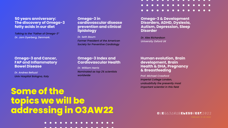## **Some of the topics we will be addressing in O3AW22** . . . . . . . . . . . .

OMEGA3AWARENESSWEEK2022

#### **50 years anniversary: The discovery of Omega-3 fatty acids in our diet**

*Talking to the "Father of Omega-3" Dr. Jorn Dyerberg, Denmark.*

### **Human evolution, Brain development, Brain Health & DHA, Pregnancy & Breastfeeding**

*Prof. Michael Crawford Imperial College London, undoubtfully the presently most important scientist in this field*



### **Omega-3 Index and Cardiovascular Health**

*Dr. William Harris Nominated as top 2% scientists worldwide*

**AAAAAAAAAA** 

**Omega-3 & Development Disorders, ADHD, Dyslexia, Autism, Depression, Sleep Disorder**

 $\bullet$   $\bullet$   $\bullet$   $\bullet$ 

 $\begin{array}{ccccccccccccccccc} \bullet & \bullet & \bullet & \bullet & \bullet & \bullet \end{array}$ 

*Dr. Alex Richardson University Oxford UK*

#### **Omega-3 and Cancer, FAP and Inflammatory Bowel Disease**

*Dr. Andrea Belluzzi Univ Hospital Bologna, Italy*

### **Omega-3 in cardiovascular disease prevention and clinical lipidology**

*Dr. Seth Baum Former President of the American Society for Preventive Cardiology*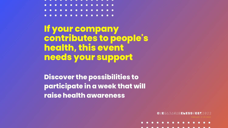#### . . . . . . . . . . . . . . <u>. . . . . . . . . . . . . .</u>

OMEGA3AWARENESSWEEK2022



**If your company contributes to people's health, this event needs your support**

**Discover the possibilities to participate in a week that will raise health awareness**

- 
-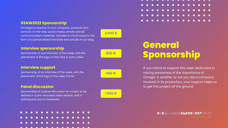

OMEGA3AWARENESSWEEK2022

If you intend to support this week dedicated to raising awareness of the importance of Omega-3, whether or not you are a company involved in its production, your support helps us to get this project off the ground.

## **General Sponsorship**

### **03AW2022 Sponsorship**

Privileged presence of your company, products and services on the web, social media, emails and all communication materials. Includes a virtual stand in the form of a personalized microsite and articles in our blog.

### **Interview sponsorship**

Sponsorship of one interview of the week, with the placement of the logo on the intro & outro video

### **Interview support**

Sponsorship of an interview of the week, with the placement of the logo in the video frame

### **Panel discussion**

Sponsorship of a panel discussion on a topic to be defined in a pre-recorded video session, with 5 participants and a moderator











### 2.500 €

### 800 €

500 €

1.500 €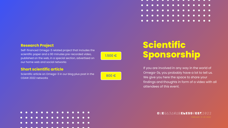OMEGA3AWARENESSWEEK2022

If you are involved in any way in the world of Omega-3s, you probably have a lot to tell us. We give you here the space to share your findings and thoughts in form of a video with all attendees of this event.

# **Scientific Sponsorship**

### **Research Project**

Self-financed Omega-3 related project that includes the scientific paper and a 90 minutes pre-recorded video, published on the web, in a special section, advertised on our home web and social networks

### **Short scientific article**

Scientific article on Omega-3 in our blog plus post in the O3AW 2022 networks



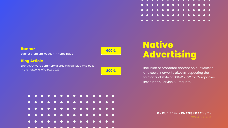

### OMEGA3AWARENESSWEEK2022

Inclusion of promoted content on our website and social networks always respecting the format and style of O3AW 2022 for Companies, Institutions, Service & Products.

## **Native Advertising**

### **Banner**

Banner premium location in home page

### **Blog Article**

Short 900-word commercial article in our blog plus post in the networks of O3AW 2022



600 €

800 €

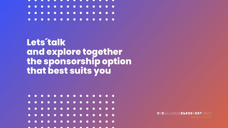OMEGA3AWARENESSWEEK2022



## **Lets´talk and explore together the sponsorship option that best suits you**